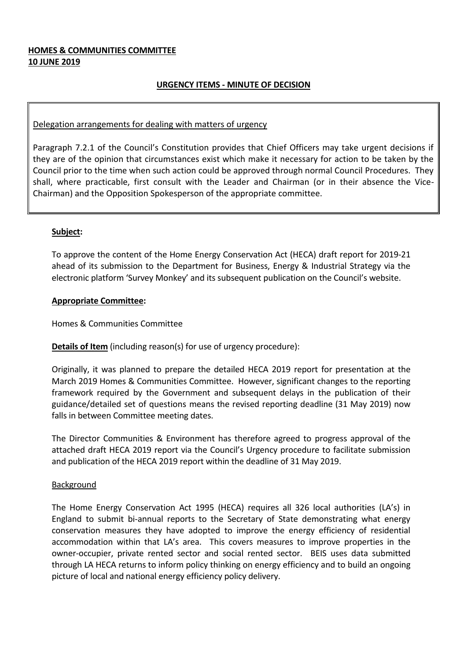#### **HOMES & COMMUNITIES COMMITTEE 10 JUNE 2019**

#### **URGENCY ITEMS - MINUTE OF DECISION**

#### Delegation arrangements for dealing with matters of urgency

Paragraph 7.2.1 of the Council's Constitution provides that Chief Officers may take urgent decisions if they are of the opinion that circumstances exist which make it necessary for action to be taken by the Council prior to the time when such action could be approved through normal Council Procedures. They shall, where practicable, first consult with the Leader and Chairman (or in their absence the Vice-Chairman) and the Opposition Spokesperson of the appropriate committee.

#### **Subject:**

To approve the content of the Home Energy Conservation Act (HECA) draft report for 2019-21 ahead of its submission to the Department for Business, Energy & Industrial Strategy via the electronic platform 'Survey Monkey' and its subsequent publication on the Council's website.

#### **Appropriate Committee:**

Homes & Communities Committee

#### **Details of Item** (including reason(s) for use of urgency procedure):

Originally, it was planned to prepare the detailed HECA 2019 report for presentation at the March 2019 Homes & Communities Committee. However, significant changes to the reporting framework required by the Government and subsequent delays in the publication of their guidance/detailed set of questions means the revised reporting deadline (31 May 2019) now falls in between Committee meeting dates.

The Director Communities & Environment has therefore agreed to progress approval of the attached draft HECA 2019 report via the Council's Urgency procedure to facilitate submission and publication of the HECA 2019 report within the deadline of 31 May 2019.

#### Background

The Home Energy Conservation Act 1995 (HECA) requires all 326 local authorities (LA's) in England to submit bi-annual reports to the Secretary of State demonstrating what energy conservation measures they have adopted to improve the energy efficiency of residential accommodation within that LA's area. This covers measures to improve properties in the owner-occupier, private rented sector and social rented sector. BEIS uses data submitted through LA HECA returns to inform policy thinking on energy efficiency and to build an ongoing picture of local and national energy efficiency policy delivery.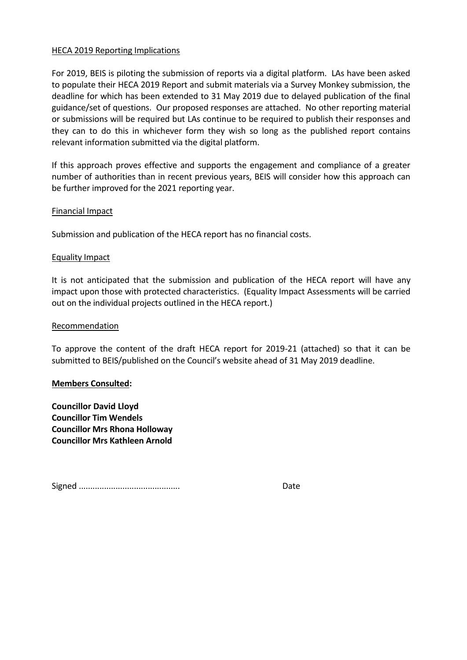#### HECA 2019 Reporting Implications

For 2019, BEIS is piloting the submission of reports via a digital platform. LAs have been asked to populate their HECA 2019 Report and submit materials via a Survey Monkey submission, the deadline for which has been extended to 31 May 2019 due to delayed publication of the final guidance/set of questions. Our proposed responses are attached. No other reporting material or submissions will be required but LAs continue to be required to publish their responses and they can to do this in whichever form they wish so long as the published report contains relevant information submitted via the digital platform.

If this approach proves effective and supports the engagement and compliance of a greater number of authorities than in recent previous years, BEIS will consider how this approach can be further improved for the 2021 reporting year.

#### Financial Impact

Submission and publication of the HECA report has no financial costs.

#### Equality Impact

It is not anticipated that the submission and publication of the HECA report will have any impact upon those with protected characteristics. (Equality Impact Assessments will be carried out on the individual projects outlined in the HECA report.)

#### Recommendation

To approve the content of the draft HECA report for 2019-21 (attached) so that it can be submitted to BEIS/published on the Council's website ahead of 31 May 2019 deadline.

#### **Members Consulted:**

**Councillor David Lloyd Councillor Tim Wendels Councillor Mrs Rhona Holloway Councillor Mrs Kathleen Arnold**

Signed ............................................ Date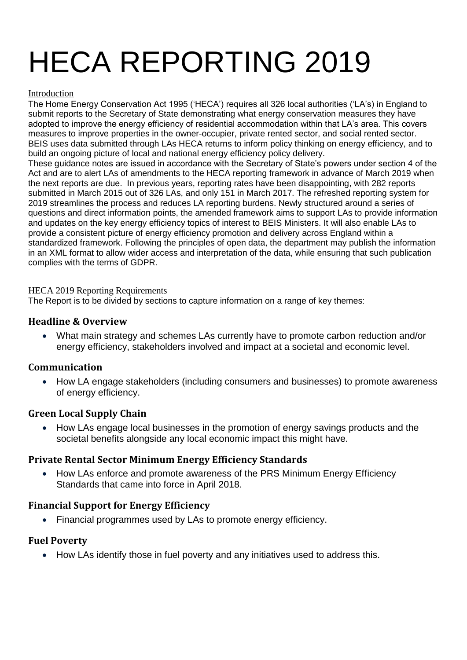# HECA REPORTING 2019

#### Introduction

The Home Energy Conservation Act 1995 ('HECA') requires all 326 local authorities ('LA's) in England to submit reports to the Secretary of State demonstrating what energy conservation measures they have adopted to improve the energy efficiency of residential accommodation within that LA's area. This covers measures to improve properties in the owner-occupier, private rented sector, and social rented sector. BEIS uses data submitted through LAs HECA returns to inform policy thinking on energy efficiency, and to build an ongoing picture of local and national energy efficiency policy delivery.

These guidance notes are issued in accordance with the Secretary of State's powers under section 4 of the Act and are to alert LAs of amendments to the HECA reporting framework in advance of March 2019 when the next reports are due. In previous years, reporting rates have been disappointing, with 282 reports submitted in March 2015 out of 326 LAs, and only 151 in March 2017. The refreshed reporting system for 2019 streamlines the process and reduces LA reporting burdens. Newly structured around a series of questions and direct information points, the amended framework aims to support LAs to provide information and updates on the key energy efficiency topics of interest to BEIS Ministers. It will also enable LAs to provide a consistent picture of energy efficiency promotion and delivery across England within a standardized framework. Following the principles of open data, the department may publish the information in an XML format to allow wider access and interpretation of the data, while ensuring that such publication complies with the terms of GDPR.

#### HECA 2019 Reporting Requirements

The Report is to be divided by sections to capture information on a range of key themes:

### **Headline & Overview**

 What main strategy and schemes LAs currently have to promote carbon reduction and/or energy efficiency, stakeholders involved and impact at a societal and economic level.

#### **Communication**

 How LA engage stakeholders (including consumers and businesses) to promote awareness of energy efficiency.

# **Green Local Supply Chain**

• How LAs engage local businesses in the promotion of energy savings products and the societal benefits alongside any local economic impact this might have.

# **Private Rental Sector Minimum Energy Efficiency Standards**

 How LAs enforce and promote awareness of the PRS Minimum Energy Efficiency Standards that came into force in April 2018.

# **Financial Support for Energy Efficiency**

Financial programmes used by LAs to promote energy efficiency.

#### **Fuel Poverty**

• How LAs identify those in fuel poverty and any initiatives used to address this.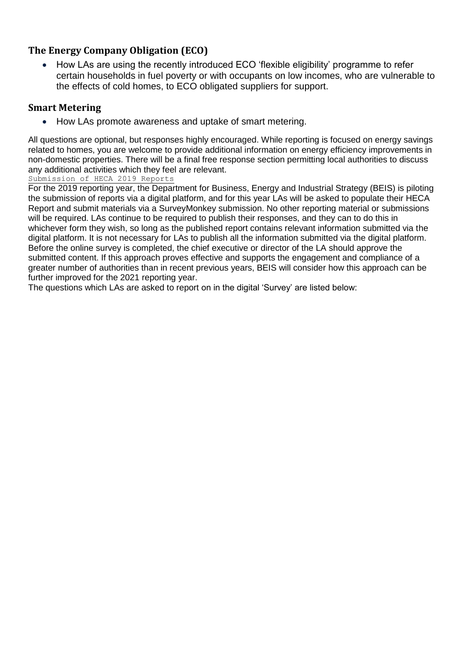# **The Energy Company Obligation (ECO)**

 How LAs are using the recently introduced ECO 'flexible eligibility' programme to refer certain households in fuel poverty or with occupants on low incomes, who are vulnerable to the effects of cold homes, to ECO obligated suppliers for support.

# **Smart Metering**

How LAs promote awareness and uptake of smart metering.

All questions are optional, but responses highly encouraged. While reporting is focused on energy savings related to homes, you are welcome to provide additional information on energy efficiency improvements in non-domestic properties. There will be a final free response section permitting local authorities to discuss any additional activities which they feel are relevant.

#### Submission of HECA 2019 Reports

For the 2019 reporting year, the Department for Business, Energy and Industrial Strategy (BEIS) is piloting the submission of reports via a digital platform, and for this year LAs will be asked to populate their HECA Report and submit materials via a SurveyMonkey submission. No other reporting material or submissions will be required. LAs continue to be required to publish their responses, and they can to do this in whichever form they wish, so long as the published report contains relevant information submitted via the digital platform. It is not necessary for LAs to publish all the information submitted via the digital platform. Before the online survey is completed, the chief executive or director of the LA should approve the submitted content. If this approach proves effective and supports the engagement and compliance of a greater number of authorities than in recent previous years, BEIS will consider how this approach can be further improved for the 2021 reporting year.

The questions which LAs are asked to report on in the digital 'Survey' are listed below: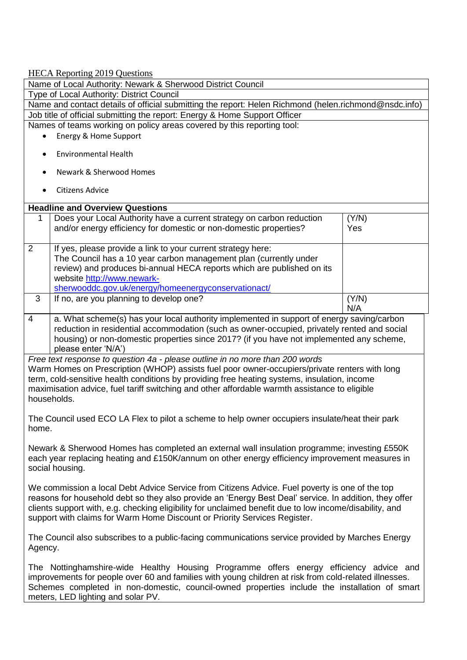HECA Reporting 2019 Questions Name of Local Authority: Newark & Sherwood District Council Type of Local Authority: District Council Name and contact details of official submitting the report: Helen Richmond (helen.richmond@nsdc.info) Job title of official submitting the report: Energy & Home Support Officer Names of teams working on policy areas covered by this reporting tool: Energy & Home Support Environmental Health Newark & Sherwood Homes Citizens Advice **Headline and Overview Questions** 1 Does your Local Authority have a current strategy on carbon reduction and/or energy efficiency for domestic or non-domestic properties? (Y/N) Yes 2 If yes, please provide a link to your current strategy here: The Council has a 10 year carbon management plan (currently under review) and produces bi-annual HECA reports which are published on its website [http://www.newark](http://www.newark-sherwooddc.gov.uk/energy/homeenergyconservationact/)[sherwooddc.gov.uk/energy/homeenergyconservationact/](http://www.newark-sherwooddc.gov.uk/energy/homeenergyconservationact/)  $3$  If no, are you planning to develop one? N/A 4 a. What scheme(s) has your local authority implemented in support of energy saving/carbon reduction in residential accommodation (such as owner-occupied, privately rented and social housing) or non-domestic properties since 2017? (if you have not implemented any scheme, please enter 'N/A') *Free text response to question 4a - please outline in no more than 200 words* Warm Homes on Prescription (WHOP) assists fuel poor owner-occupiers/private renters with long term, cold-sensitive health conditions by providing free heating systems, insulation, income maximisation advice, fuel tariff switching and other affordable warmth assistance to eligible households. The Council used ECO LA Flex to pilot a scheme to help owner occupiers insulate/heat their park home. Newark & Sherwood Homes has completed an external wall insulation programme; investing £550K each year replacing heating and £150K/annum on other energy efficiency improvement measures in social housing. We commission a local Debt Advice Service from Citizens Advice. Fuel poverty is one of the top reasons for household debt so they also provide an 'Energy Best Deal' service. In addition, they offer clients support with, e.g. checking eligibility for unclaimed benefit due to low income/disability, and support with claims for Warm Home Discount or Priority Services Register. The Council also subscribes to a public-facing communications service provided by Marches Energy Agency. The Nottinghamshire-wide Healthy Housing Programme offers energy efficiency advice and improvements for people over 60 and families with young children at risk from cold-related illnesses. Schemes completed in non-domestic, council-owned properties include the installation of smart meters, LED lighting and solar PV.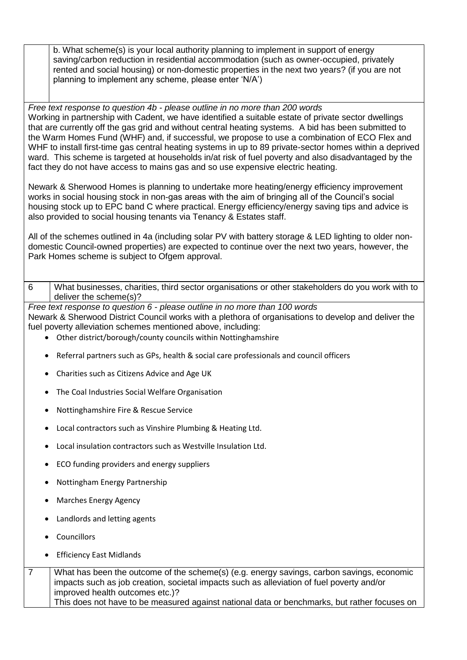b. What scheme(s) is your local authority planning to implement in support of energy saving/carbon reduction in residential accommodation (such as owner-occupied, privately rented and social housing) or non-domestic properties in the next two years? (if you are not planning to implement any scheme, please enter 'N/A')

*Free text response to question 4b - please outline in no more than 200 words* Working in partnership with Cadent, we have identified a suitable estate of private sector dwellings that are currently off the gas grid and without central heating systems. A bid has been submitted to the Warm Homes Fund (WHF) and, if successful, we propose to use a combination of ECO Flex and WHF to install first-time gas central heating systems in up to 89 private-sector homes within a deprived ward. This scheme is targeted at households in/at risk of fuel poverty and also disadvantaged by the fact they do not have access to mains gas and so use expensive electric heating.

Newark & Sherwood Homes is planning to undertake more heating/energy efficiency improvement works in social housing stock in non-gas areas with the aim of bringing all of the Council's social housing stock up to EPC band C where practical. Energy efficiency/energy saving tips and advice is also provided to social housing tenants via Tenancy & Estates staff.

All of the schemes outlined in 4a (including solar PV with battery storage & LED lighting to older nondomestic Council-owned properties) are expected to continue over the next two years, however, the Park Homes scheme is subject to Ofgem approval.

6 What businesses, charities, third sector organisations or other stakeholders do you work with to deliver the scheme(s)?

*Free text response to question 6 - please outline in no more than 100 words* Newark & Sherwood District Council works with a plethora of organisations to develop and deliver the fuel poverty alleviation schemes mentioned above, including:

- Other district/borough/county councils within Nottinghamshire
- Referral partners such as GPs, health & social care professionals and council officers
- Charities such as Citizens Advice and Age UK
- The Coal Industries Social Welfare Organisation
- Nottinghamshire Fire & Rescue Service
- Local contractors such as Vinshire Plumbing & Heating Ltd.
- Local insulation contractors such as Westville Insulation Ltd.
- ECO funding providers and energy suppliers
- Nottingham Energy Partnership
- Marches Energy Agency
- Landlords and letting agents
- Councillors
- Efficiency East Midlands

| What has been the outcome of the scheme(s) (e.g. energy savings, carbon savings, economic    |
|----------------------------------------------------------------------------------------------|
| impacts such as job creation, societal impacts such as alleviation of fuel poverty and/or    |
| improved health outcomes etc.)?                                                              |
| This does not have to be measured against national data or benchmarks, but rather focuses on |
|                                                                                              |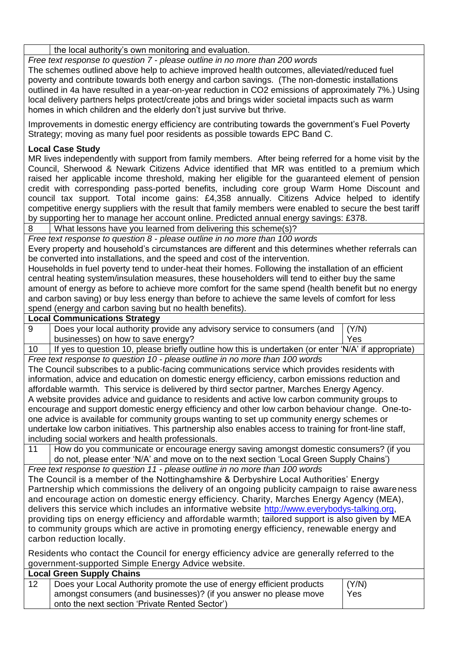the local authority's own monitoring and evaluation.

*Free text response to question 7 - please outline in no more than 200 words*

The schemes outlined above help to achieve improved health outcomes, alleviated/reduced fuel poverty and contribute towards both energy and carbon savings. (The non-domestic installations outlined in 4a have resulted in a year-on-year reduction in CO2 emissions of approximately 7%.) Using local delivery partners helps protect/create jobs and brings wider societal impacts such as warm homes in which children and the elderly don't just survive but thrive.

Improvements in domestic energy efficiency are contributing towards the government's Fuel Poverty Strategy; moving as many fuel poor residents as possible towards EPC Band C.

#### **Local Case Study**

MR lives independently with support from family members. After being referred for a home visit by the Council, Sherwood & Newark Citizens Advice identified that MR was entitled to a premium which raised her applicable income threshold, making her eligible for the guaranteed element of pension credit with corresponding pass-ported benefits, including core group Warm Home Discount and council tax support. Total income gains: £4,358 annually. Citizens Advice helped to identify competitive energy suppliers with the result that family members were enabled to secure the best tariff by supporting her to manage her account online. Predicted annual energy savings: £378.

8 What lessons have you learned from delivering this scheme(s)?

*Free text response to question 8 - please outline in no more than 100 words* Every property and household's circumstances are different and this determines whether referrals can

be converted into installations, and the speed and cost of the intervention. Households in fuel poverty tend to under-heat their homes. Following the installation of an efficient central heating system/insulation measures, these householders will tend to either buy the same amount of energy as before to achieve more comfort for the same spend (health benefit but no energy and carbon saving) or buy less energy than before to achieve the same levels of comfort for less spend (energy and carbon saving but no health benefits).

#### **Local Communications Strategy**

9 | Does your local authority provide any advisory service to consumers (and businesses) on how to save energy? (Y/N) Yes

10 If yes to question 10, please briefly outline how this is undertaken (or enter 'N/A' if appropriate) *Free text response to question 10 - please outline in no more than 100 words*

The Council subscribes to a public-facing communications service which provides residents with information, advice and education on domestic energy efficiency, carbon emissions reduction and affordable warmth. This service is delivered by third sector partner, Marches Energy Agency. A website provides advice and guidance to residents and active low carbon community groups to encourage and support domestic energy efficiency and other low carbon behaviour change. One-toone advice is available for community groups wanting to set up community energy schemes or undertake low carbon initiatives. This partnership also enables access to training for front-line staff, including social workers and health professionals.

11 How do you communicate or encourage energy saving amongst domestic consumers? (if you do not, please enter 'N/A' and move on to the next section 'Local Green Supply Chains')

*Free text response to question 11 - please outline in no more than 100 words* The Council is a member of the Nottinghamshire & Derbyshire Local Authorities' Energy Partnership which commissions the delivery of an ongoing publicity campaign to raise awareness and encourage action on domestic energy efficiency. Charity, Marches Energy Agency (MEA), delivers this service which includes an informative website [http://www.everybodys-talking.org,](http://www.everybodys-talking.org/) providing tips on energy efficiency and affordable warmth; tailored support is also given by MEA to community groups which are active in promoting energy efficiency, renewable energy and carbon reduction locally.

Residents who contact the Council for energy efficiency advice are generally referred to the government-supported Simple Energy Advice website.

|    | <b>Local Green Supply Chains</b>                                       |       |
|----|------------------------------------------------------------------------|-------|
| 12 | Does your Local Authority promote the use of energy efficient products | (Y/N) |
|    | amongst consumers (and businesses)? (if you answer no please move      | Yes   |
|    | onto the next section 'Private Rented Sector')                         |       |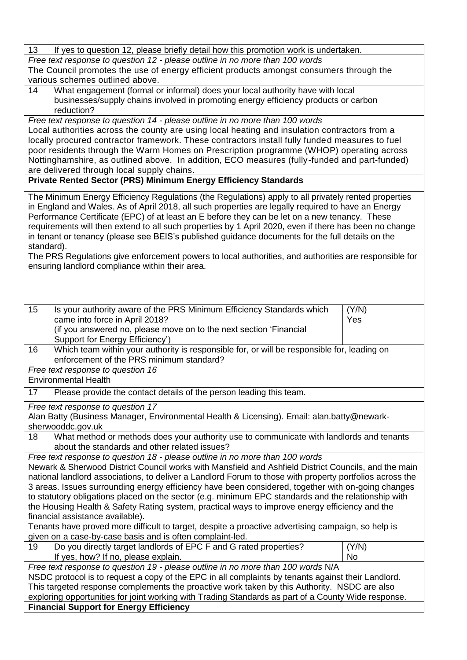| 13                                                                                                 | If yes to question 12, please briefly detail how this promotion work is undertaken.                                                                                                                 |       |  |
|----------------------------------------------------------------------------------------------------|-----------------------------------------------------------------------------------------------------------------------------------------------------------------------------------------------------|-------|--|
| Free text response to question 12 - please outline in no more than 100 words                       |                                                                                                                                                                                                     |       |  |
|                                                                                                    | The Council promotes the use of energy efficient products amongst consumers through the                                                                                                             |       |  |
|                                                                                                    | various schemes outlined above.                                                                                                                                                                     |       |  |
| 14                                                                                                 | What engagement (formal or informal) does your local authority have with local                                                                                                                      |       |  |
|                                                                                                    | businesses/supply chains involved in promoting energy efficiency products or carbon                                                                                                                 |       |  |
|                                                                                                    | reduction?                                                                                                                                                                                          |       |  |
|                                                                                                    | Free text response to question 14 - please outline in no more than 100 words                                                                                                                        |       |  |
|                                                                                                    | Local authorities across the county are using local heating and insulation contractors from a                                                                                                       |       |  |
|                                                                                                    | locally procured contractor framework. These contractors install fully funded measures to fuel                                                                                                      |       |  |
|                                                                                                    | poor residents through the Warm Homes on Prescription programme (WHOP) operating across                                                                                                             |       |  |
|                                                                                                    | Nottinghamshire, as outlined above. In addition, ECO measures (fully-funded and part-funded)                                                                                                        |       |  |
|                                                                                                    | are delivered through local supply chains.                                                                                                                                                          |       |  |
|                                                                                                    | <b>Private Rented Sector (PRS) Minimum Energy Efficiency Standards</b>                                                                                                                              |       |  |
|                                                                                                    | The Minimum Energy Efficiency Regulations (the Regulations) apply to all privately rented properties                                                                                                |       |  |
|                                                                                                    | in England and Wales. As of April 2018, all such properties are legally required to have an Energy                                                                                                  |       |  |
|                                                                                                    | Performance Certificate (EPC) of at least an E before they can be let on a new tenancy. These                                                                                                       |       |  |
|                                                                                                    | requirements will then extend to all such properties by 1 April 2020, even if there has been no change                                                                                              |       |  |
|                                                                                                    | in tenant or tenancy (please see BEIS's published guidance documents for the full details on the                                                                                                    |       |  |
| standard).                                                                                         |                                                                                                                                                                                                     |       |  |
|                                                                                                    | The PRS Regulations give enforcement powers to local authorities, and authorities are responsible for                                                                                               |       |  |
|                                                                                                    | ensuring landlord compliance within their area.                                                                                                                                                     |       |  |
|                                                                                                    |                                                                                                                                                                                                     |       |  |
|                                                                                                    |                                                                                                                                                                                                     |       |  |
|                                                                                                    |                                                                                                                                                                                                     |       |  |
| 15                                                                                                 | Is your authority aware of the PRS Minimum Efficiency Standards which                                                                                                                               | (Y/N) |  |
|                                                                                                    | came into force in April 2018?                                                                                                                                                                      | Yes   |  |
|                                                                                                    | (if you answered no, please move on to the next section 'Financial                                                                                                                                  |       |  |
|                                                                                                    | Support for Energy Efficiency')                                                                                                                                                                     |       |  |
| 16                                                                                                 | Which team within your authority is responsible for, or will be responsible for, leading on                                                                                                         |       |  |
|                                                                                                    | enforcement of the PRS minimum standard?                                                                                                                                                            |       |  |
|                                                                                                    | Free text response to question 16                                                                                                                                                                   |       |  |
|                                                                                                    | <b>Environmental Health</b>                                                                                                                                                                         |       |  |
| 17                                                                                                 | Please provide the contact details of the person leading this team.                                                                                                                                 |       |  |
|                                                                                                    | Free text response to question 17                                                                                                                                                                   |       |  |
|                                                                                                    | Alan Batty (Business Manager, Environmental Health & Licensing). Email: alan.batty@newark-                                                                                                          |       |  |
|                                                                                                    | sherwooddc.gov.uk                                                                                                                                                                                   |       |  |
| 18                                                                                                 | What method or methods does your authority use to communicate with landlords and tenants                                                                                                            |       |  |
|                                                                                                    | about the standards and other related issues?                                                                                                                                                       |       |  |
|                                                                                                    | Free text response to question 18 - please outline in no more than 100 words                                                                                                                        |       |  |
|                                                                                                    | Newark & Sherwood District Council works with Mansfield and Ashfield District Councils, and the main                                                                                                |       |  |
|                                                                                                    | national landlord associations, to deliver a Landlord Forum to those with property portfolios across the                                                                                            |       |  |
|                                                                                                    | 3 areas. Issues surrounding energy efficiency have been considered, together with on-going changes                                                                                                  |       |  |
|                                                                                                    | to statutory obligations placed on the sector (e.g. minimum EPC standards and the relationship with                                                                                                 |       |  |
|                                                                                                    | the Housing Health & Safety Rating system, practical ways to improve energy efficiency and the                                                                                                      |       |  |
|                                                                                                    | financial assistance available).                                                                                                                                                                    |       |  |
| Tenants have proved more difficult to target, despite a proactive advertising campaign, so help is |                                                                                                                                                                                                     |       |  |
|                                                                                                    | given on a case-by-case basis and is often complaint-led.                                                                                                                                           |       |  |
| 19                                                                                                 | Do you directly target landlords of EPC F and G rated properties?                                                                                                                                   | (Y/N) |  |
|                                                                                                    | If yes, how? If no, please explain.                                                                                                                                                                 | No    |  |
|                                                                                                    | Free text response to question 19 - please outline in no more than 100 words N/A                                                                                                                    |       |  |
| NSDC protocol is to request a copy of the EPC in all complaints by tenants against their Landlord. |                                                                                                                                                                                                     |       |  |
|                                                                                                    | This targeted response complements the proactive work taken by this Authority. NSDC are also<br>exploring opportunities for joint working with Trading Standards as part of a County Wide response. |       |  |
|                                                                                                    |                                                                                                                                                                                                     |       |  |
|                                                                                                    | <b>Financial Support for Energy Efficiency</b>                                                                                                                                                      |       |  |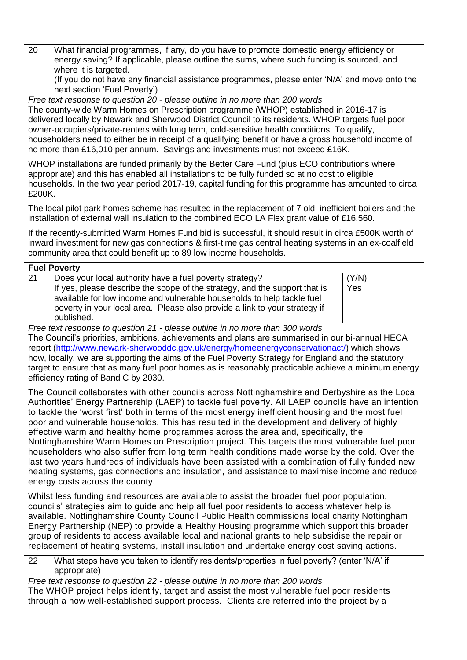20 What financial programmes, if any, do you have to promote domestic energy efficiency or energy saving? If applicable, please outline the sums, where such funding is sourced, and where it is targeted.

(If you do not have any financial assistance programmes, please enter 'N/A' and move onto the next section 'Fuel Poverty')

*Free text response to question 20 - please outline in no more than 200 words* The county-wide Warm Homes on Prescription programme (WHOP) established in 2016-17 is delivered locally by Newark and Sherwood District Council to its residents. WHOP targets fuel poor owner-occupiers/private-renters with long term, cold-sensitive health conditions. To qualify, householders need to either be in receipt of a qualifying benefit or have a gross household income of no more than £16,010 per annum. Savings and investments must not exceed £16K.

WHOP installations are funded primarily by the Better Care Fund (plus ECO contributions where appropriate) and this has enabled all installations to be fully funded so at no cost to eligible households. In the two year period 2017-19, capital funding for this programme has amounted to circa £200K.

The local pilot park homes scheme has resulted in the replacement of 7 old, inefficient boilers and the installation of external wall insulation to the combined ECO LA Flex grant value of £16,560.

If the recently-submitted Warm Homes Fund bid is successful, it should result in circa £500K worth of inward investment for new gas connections & first-time gas central heating systems in an ex-coalfield community area that could benefit up to 89 low income households.

#### **Fuel Poverty**

| 21 | Does your local authority have a fuel poverty strategy?                    | (Y/N) |
|----|----------------------------------------------------------------------------|-------|
|    | If yes, please describe the scope of the strategy, and the support that is | Yes   |
|    | available for low income and vulnerable households to help tackle fuel     |       |
|    | poverty in your local area. Please also provide a link to your strategy if |       |
|    | published.                                                                 |       |

*Free text response to question 21 - please outline in no more than 300 words*

The Council's priorities, ambitions, achievements and plans are summarised in our bi-annual HECA report [\(http://www.newark-sherwooddc.gov.uk/energy/homeenergyconservationact/\)](http://www.newark-sherwooddc.gov.uk/energy/homeenergyconservationact/) which shows how, locally, we are supporting the aims of the Fuel Poverty Strategy for England and the statutory target to ensure that as many fuel poor homes as is reasonably practicable achieve a minimum energy efficiency rating of Band C by 2030.

The Council collaborates with other councils across Nottinghamshire and Derbyshire as the Local Authorities' Energy Partnership (LAEP) to tackle fuel poverty. All LAEP councils have an intention to tackle the 'worst first' both in terms of the most energy inefficient housing and the most fuel poor and vulnerable households. This has resulted in the development and delivery of highly effective warm and healthy home programmes across the area and, specifically, the Nottinghamshire Warm Homes on Prescription project. This targets the most vulnerable fuel poor householders who also suffer from long term health conditions made worse by the cold. Over the last two years hundreds of individuals have been assisted with a combination of fully funded new heating systems, gas connections and insulation, and assistance to maximise income and reduce energy costs across the county.

Whilst less funding and resources are available to assist the broader fuel poor population, councils' strategies aim to guide and help all fuel poor residents to access whatever help is available. Nottinghamshire County Council Public Health commissions local charity Nottingham Energy Partnership (NEP) to provide a Healthy Housing programme which support this broader group of residents to access available local and national grants to help subsidise the repair or replacement of heating systems, install insulation and undertake energy cost saving actions.

22 What steps have you taken to identify residents/properties in fuel poverty? (enter 'N/A' if appropriate)

*Free text response to question 22 - please outline in no more than 200 words* The WHOP project helps identify, target and assist the most vulnerable fuel poor residents through a now well-established support process. Clients are referred into the project by a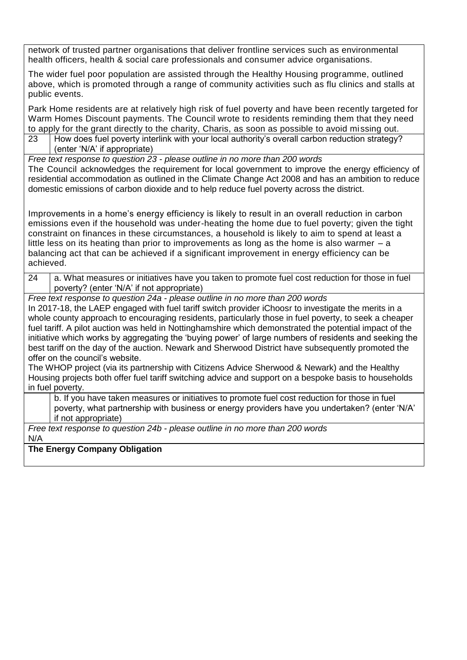network of trusted partner organisations that deliver frontline services such as environmental health officers, health & social care professionals and consumer advice organisations.

The wider fuel poor population are assisted through the Healthy Housing programme, outlined above, which is promoted through a range of community activities such as flu clinics and stalls at public events.

Park Home residents are at relatively high risk of fuel poverty and have been recently targeted for Warm Homes Discount payments. The Council wrote to residents reminding them that they need to apply for the grant directly to the charity, Charis, as soon as possible to avoid missing out.

23 How does fuel poverty interlink with your local authority's overall carbon reduction strategy? (enter 'N/A' if appropriate)

*Free text response to question 23 - please outline in no more than 200 words* The Council acknowledges the requirement for local government to improve the energy efficiency of residential accommodation as outlined in the Climate Change Act 2008 and has an ambition to reduce domestic emissions of carbon dioxide and to help reduce fuel poverty across the district.

Improvements in a home's energy efficiency is likely to result in an overall reduction in carbon emissions even if the household was under-heating the home due to fuel poverty; given the tight constraint on finances in these circumstances, a household is likely to aim to spend at least a little less on its heating than prior to improvements as long as the home is also warmer  $-$  a balancing act that can be achieved if a significant improvement in energy efficiency can be achieved.

 $24$  a. What measures or initiatives have you taken to promote fuel cost reduction for those in fuel poverty? (enter 'N/A' if not appropriate)

*Free text response to question 24a - please outline in no more than 200 words*

In 2017-18, the LAEP engaged with fuel tariff switch provider iChoosr to investigate the merits in a whole county approach to encouraging residents, particularly those in fuel poverty, to seek a cheaper fuel tariff. A pilot auction was held in Nottinghamshire which demonstrated the potential impact of the initiative which works by aggregating the 'buying power' of large numbers of residents and seeking the best tariff on the day of the auction. Newark and Sherwood District have subsequently promoted the offer on the council's website.

The WHOP project (via its partnership with Citizens Advice Sherwood & Newark) and the Healthy Housing projects both offer fuel tariff switching advice and support on a bespoke basis to households in fuel poverty.

b. If you have taken measures or initiatives to promote fuel cost reduction for those in fuel poverty, what partnership with business or energy providers have you undertaken? (enter 'N/A' if not appropriate)

*Free text response to question 24b - please outline in no more than 200 words* N/A

**The Energy Company Obligation**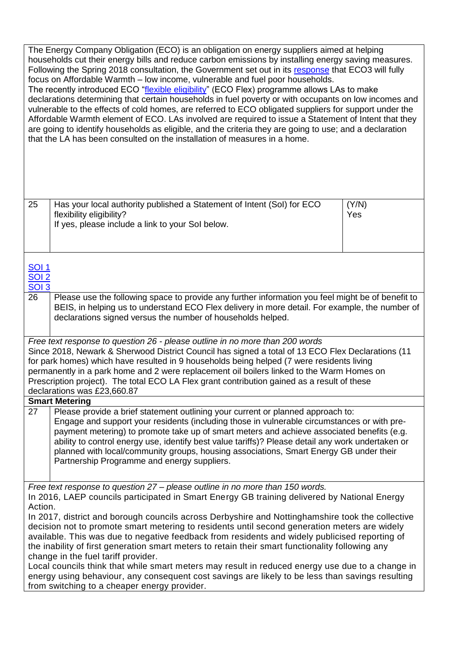|                                                   | The Energy Company Obligation (ECO) is an obligation on energy suppliers aimed at helping<br>households cut their energy bills and reduce carbon emissions by installing energy saving measures.<br>Following the Spring 2018 consultation, the Government set out in its response that ECO3 will fully<br>focus on Affordable Warmth - low income, vulnerable and fuel poor households.<br>The recently introduced ECO "flexible eligibility" (ECO Flex) programme allows LAs to make<br>declarations determining that certain households in fuel poverty or with occupants on low incomes and<br>vulnerable to the effects of cold homes, are referred to ECO obligated suppliers for support under the<br>Affordable Warmth element of ECO. LAs involved are required to issue a Statement of Intent that they<br>are going to identify households as eligible, and the criteria they are going to use; and a declaration<br>that the LA has been consulted on the installation of measures in a home. |              |
|---------------------------------------------------|-----------------------------------------------------------------------------------------------------------------------------------------------------------------------------------------------------------------------------------------------------------------------------------------------------------------------------------------------------------------------------------------------------------------------------------------------------------------------------------------------------------------------------------------------------------------------------------------------------------------------------------------------------------------------------------------------------------------------------------------------------------------------------------------------------------------------------------------------------------------------------------------------------------------------------------------------------------------------------------------------------------|--------------|
| 25                                                | Has your local authority published a Statement of Intent (Sol) for ECO<br>flexibility eligibility?<br>If yes, please include a link to your Sol below.                                                                                                                                                                                                                                                                                                                                                                                                                                                                                                                                                                                                                                                                                                                                                                                                                                                    | (Y/N)<br>Yes |
| <b>SOI 1</b><br><b>SOI 2</b><br>$\overline{SO13}$ |                                                                                                                                                                                                                                                                                                                                                                                                                                                                                                                                                                                                                                                                                                                                                                                                                                                                                                                                                                                                           |              |
| 26                                                | Please use the following space to provide any further information you feel might be of benefit to<br>BEIS, in helping us to understand ECO Flex delivery in more detail. For example, the number of<br>declarations signed versus the number of households helped.                                                                                                                                                                                                                                                                                                                                                                                                                                                                                                                                                                                                                                                                                                                                        |              |
|                                                   | Free text response to question 26 - please outline in no more than 200 words<br>Since 2018, Newark & Sherwood District Council has signed a total of 13 ECO Flex Declarations (11<br>for park homes) which have resulted in 9 households being helped (7 were residents living<br>permanently in a park home and 2 were replacement oil boilers linked to the Warm Homes on<br>Prescription project). The total ECO LA Flex grant contribution gained as a result of these<br>declarations was £23,660.87                                                                                                                                                                                                                                                                                                                                                                                                                                                                                                 |              |
|                                                   | <b>Smart Metering</b>                                                                                                                                                                                                                                                                                                                                                                                                                                                                                                                                                                                                                                                                                                                                                                                                                                                                                                                                                                                     |              |
| 27                                                | Please provide a brief statement outlining your current or planned approach to:<br>Engage and support your residents (including those in vulnerable circumstances or with pre-<br>payment metering) to promote take up of smart meters and achieve associated benefits (e.g.<br>ability to control energy use, identify best value tariffs)? Please detail any work undertaken or<br>planned with local/community groups, housing associations, Smart Energy GB under their<br>Partnership Programme and energy suppliers.                                                                                                                                                                                                                                                                                                                                                                                                                                                                                |              |
| Action.                                           | Free text response to question 27 – please outline in no more than 150 words.<br>In 2016, LAEP councils participated in Smart Energy GB training delivered by National Energy<br>In 2017, district and borough councils across Derbyshire and Nottinghamshire took the collective<br>decision not to promote smart metering to residents until second generation meters are widely<br>available. This was due to negative feedback from residents and widely publicised reporting of<br>the inability of first generation smart meters to retain their smart functionality following any<br>change in the fuel tariff provider.                                                                                                                                                                                                                                                                                                                                                                           |              |
|                                                   | Local councils think that while smart meters may result in reduced energy use due to a change in<br>energy using behaviour, any consequent cost savings are likely to be less than savings resulting<br>from switching to a cheaper energy provider.                                                                                                                                                                                                                                                                                                                                                                                                                                                                                                                                                                                                                                                                                                                                                      |              |